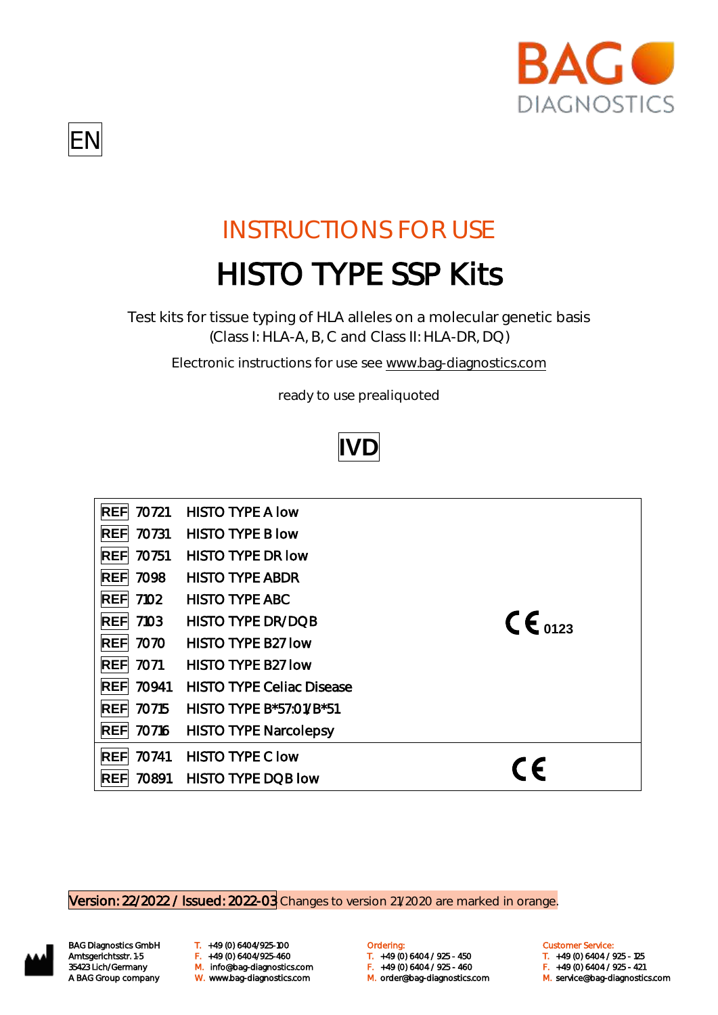

## EN

# INSTRUCTIONS FOR USE HISTO TYPE SSP Kits

Test kits for tissue typing of HLA alleles on a molecular genetic basis (Class I: HLA-A, B, C and Class II: HLA-DR, DQ)

Electronic instructions for use see [www.bag-diagnostics.com](http://www.bag-diagnostics.com/)

ready to use prealiquoted



| 70721 | <b>HISTO TYPE A low</b>          |                      |
|-------|----------------------------------|----------------------|
| 70731 | <b>HISTO TYPE B low</b>          |                      |
| 70751 | <b>HISTO TYPE DR low</b>         |                      |
| 7098  | <b>HISTO TYPE ABDR</b>           |                      |
| 7102  | <b>HISTO TYPE ABC</b>            |                      |
| 7103  | <b>HISTO TYPE DR/DOB</b>         | $\mathsf{CE}_{0123}$ |
| 7070  | <b>HISTO TYPE B27 low</b>        |                      |
| 7071  | <b>HISTO TYPE B27 low</b>        |                      |
| 70941 | <b>HISTO TYPE Cellac Disease</b> |                      |
| 70715 | HISTO TYPE B*57:01/B*51          |                      |
| 70716 | <b>HISTO TYPE Narcolepsy</b>     |                      |
| 70741 | <b>HISTO TYPE C low</b>          |                      |
| 70891 | <b>HISTO TYPE DQB low</b>        |                      |
|       |                                  |                      |

Version: 22/2022 / Issued: 2022-03 Changes to version 21/2020 are marked in orange.



BAG Diagnostics GmbH T. +49 (0) 6404/925-100 **Cambridge Condering:** Customer Service: Customer Service: M. orderlang-Amtsgerichtsstr. 1-5 F. +49 (0) 6404/925-460 T. +49 (0) 6404 / 925 - 450 T. +49 (0) 6404 / 925 - 125 35423 Lich/Germany M. info@bag-diagnostics.com F. +49 (0) 6404 / 925 - 460 F. +49 (0) 6404 / 925 - 421<br>A BAG Group company W. www.bag-diagnostics.com M. order@bag-diagnostics.com M. service@bag-diagnostic

- 
- W. www.bag-diagnostics.com M. order@bag-diagnostics.com M. service@bag-diagnostics.com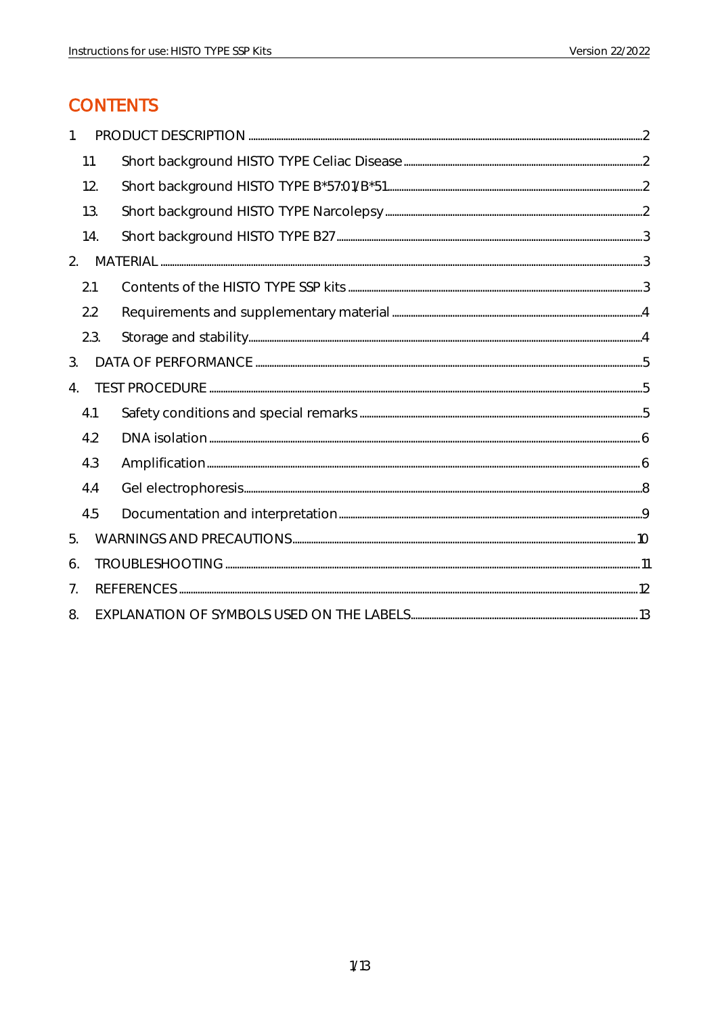### **CONTENTS**

| 1.                    |      |  |  |  |  |
|-----------------------|------|--|--|--|--|
|                       | 1.1. |  |  |  |  |
|                       | 1.2. |  |  |  |  |
|                       | 1.3. |  |  |  |  |
|                       | 1.4. |  |  |  |  |
| 2.                    |      |  |  |  |  |
|                       | 2.1  |  |  |  |  |
|                       | 2.2  |  |  |  |  |
|                       | 2.3. |  |  |  |  |
| 3.                    |      |  |  |  |  |
| $\mathcal{A}_{\cdot}$ |      |  |  |  |  |
|                       | 4.1  |  |  |  |  |
|                       | 4.2  |  |  |  |  |
|                       | 4.3  |  |  |  |  |
|                       | 4.4  |  |  |  |  |
|                       | 4.5  |  |  |  |  |
| 5.                    |      |  |  |  |  |
| 6.                    |      |  |  |  |  |
| 7 <sub>1</sub>        |      |  |  |  |  |
| 8.                    |      |  |  |  |  |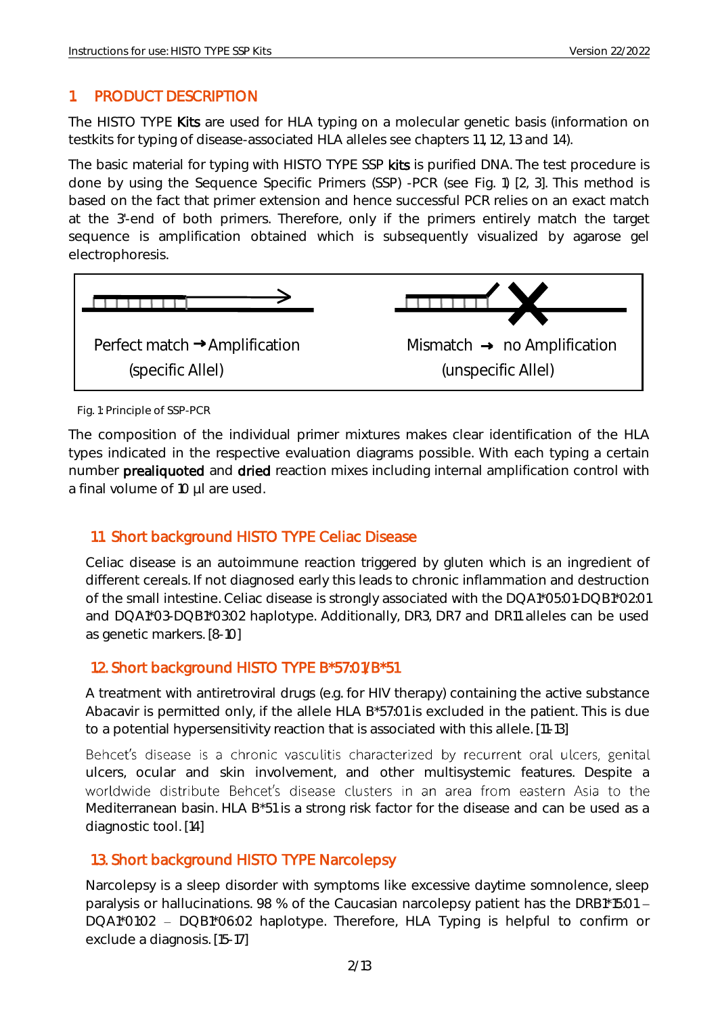#### <span id="page-2-0"></span>1. PRODUCT DESCRIPTION

The HISTO TYPE Kits are used for HLA typing on a molecular genetic basis (information on testkits for typing of disease-associated HLA alleles see chapters 1.1, 1.2, 1.3 and 1.4).

The basic material for typing with HISTO TYPE SSP kits is purified DNA. The test procedure is done by using the Sequence Specific Primers (SSP) -PCR (see Fig. 1) [2, 3]. This method is based on the fact that primer extension and hence successful PCR relies on an exact match at the 3'-end of both primers. Therefore, only if the primers entirely match the target sequence is amplification obtained which is subsequently visualized by agarose gel electrophoresis.



Fig. 1: Principle of SSP-PCR

The composition of the individual primer mixtures makes clear identification of the HLA types indicated in the respective evaluation diagrams possible. With each typing a certain number prealiquoted and dried reaction mixes including internal amplification control with a final volume of 10 µl are used.

#### <span id="page-2-1"></span>1.1. Short background HISTO TYPE Celiac Disease

Celiac disease is an autoimmune reaction triggered by gluten which is an ingredient of different cereals. If not diagnosed early this leads to chronic inflammation and destruction of the small intestine. Celiac disease is strongly associated with the DQA1\*05:01-DQB1\*02:01 and DQA1\*03-DQB1\*03:02 haplotype. Additionally, DR3, DR7 and DR11 alleles can be used as genetic markers. [8-10]

#### <span id="page-2-2"></span>1.2. Short background HISTO TYPE B\*57:01/B\*51

A treatment with antiretroviral drugs (e.g. for HIV therapy) containing the active substance Abacavir is permitted only, if the allele HLA B\*57:01 is excluded in the patient. This is due to a potential hypersensitivity reaction that is associated with this allele. [11-13]

Behcet's disease is a chronic vasculitis characterized by recurrent oral ulcers, genital ulcers, ocular and skin involvement, and other multisystemic features. Despite a worldwide distribute Behcet's disease clusters in an area from eastern Asia to the Mediterranean basin. HLA B\*51 is a strong risk factor for the disease and can be used as a diagnostic tool. [14]

#### <span id="page-2-3"></span>1.3. Short background HISTO TYPE Narcolepsy

Narcolepsy is a sleep disorder with symptoms like excessive daytime somnolence, sleep paralysis or hallucinations. 98 % of the Caucasian narcolepsy patient has the DRB1\*15:01 -DQA1\*01:02 - DQB1\*06:02 haplotype. Therefore, HLA Typing is helpful to confirm or exclude a diagnosis. [15-17]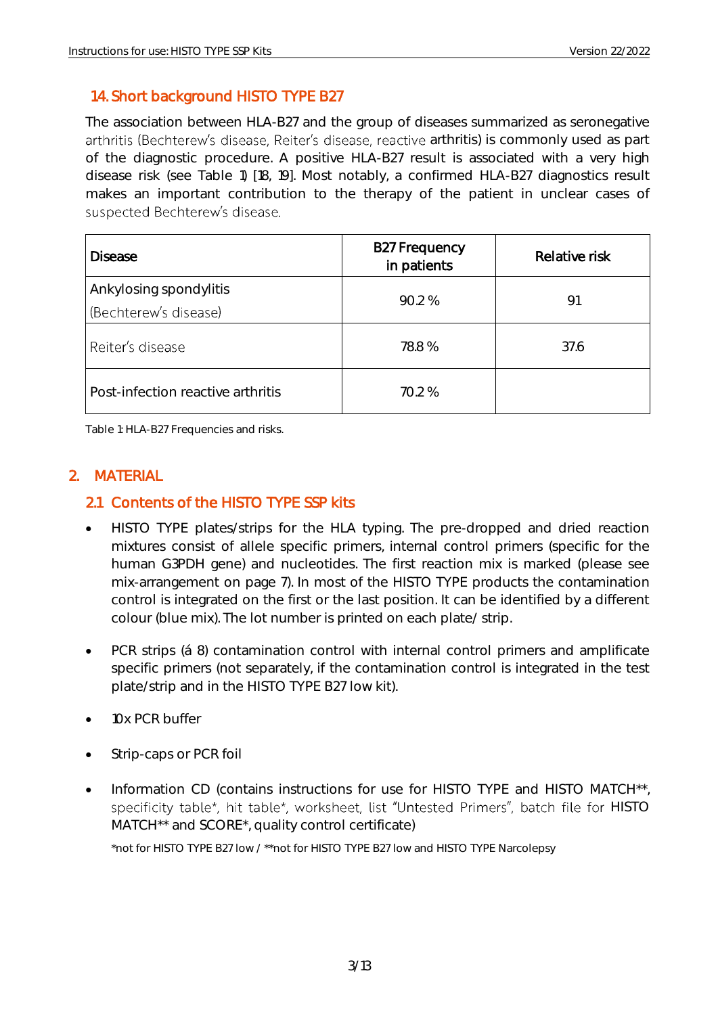#### <span id="page-3-0"></span>1.4. Short background HISTO TYPE B27

The association between HLA-B27 and the group of diseases summarized as seronegative arthritis (Bechterew's disease, Reiter's disease, reactive arthritis) is commonly used as part of the diagnostic procedure. A positive HLA-B27 result is associated with a very high disease risk (see Table 1) [18, 19]. Most notably, a confirmed HLA-B27 diagnostics result makes an important contribution to the therapy of the patient in unclear cases of suspected Bechterew's disease.

| <b>Disease</b>                    | <b>B27 Frequency</b><br>in patients | Relative risk |
|-----------------------------------|-------------------------------------|---------------|
| Ankylosing spondylitis            | 90.2 %                              | 91            |
| (Bechterew's disease)             |                                     |               |
| Reiter's disease                  | 78.8 %                              | 37.6          |
| Post-infection reactive arthritis | 70.2 %                              |               |

Table 1: HLA-B27 Frequencies and risks.

#### <span id="page-3-1"></span>2. MATERIAL

#### <span id="page-3-2"></span>2.1 Contents of the HISTO TYPE SSP kits

- HISTO TYPE plates/strips for the HLA typing. The pre-dropped and dried reaction mixtures consist of allele specific primers, internal control primers (specific for the human G3PDH gene) and nucleotides. The first reaction mix is marked (please see mix-arrangement on page 7). In most of the HISTO TYPE products the contamination control is integrated on the first or the last position. It can be identified by a different colour (blue mix). The lot number is printed on each plate/ strip.
- PCR strips (á 8) contamination control with internal control primers and amplificate specific primers (not separately, if the contamination control is integrated in the test plate/strip and in the HISTO TYPE B27 low kit).
- 10x PCR buffer
- Strip-caps or PCR foil
- Information CD (contains instructions for use for HISTO TYPE and HISTO MATCH\*\*, specificity table\*, hit table\*, worksheet, list "Untested Primers", batch file for HISTO MATCH<sup>\*\*</sup> and SCORE<sup>\*</sup>, quality control certificate)

\*not for HISTO TYPE B27 low / \*\*not for HISTO TYPE B27 low and HISTO TYPE Narcolepsy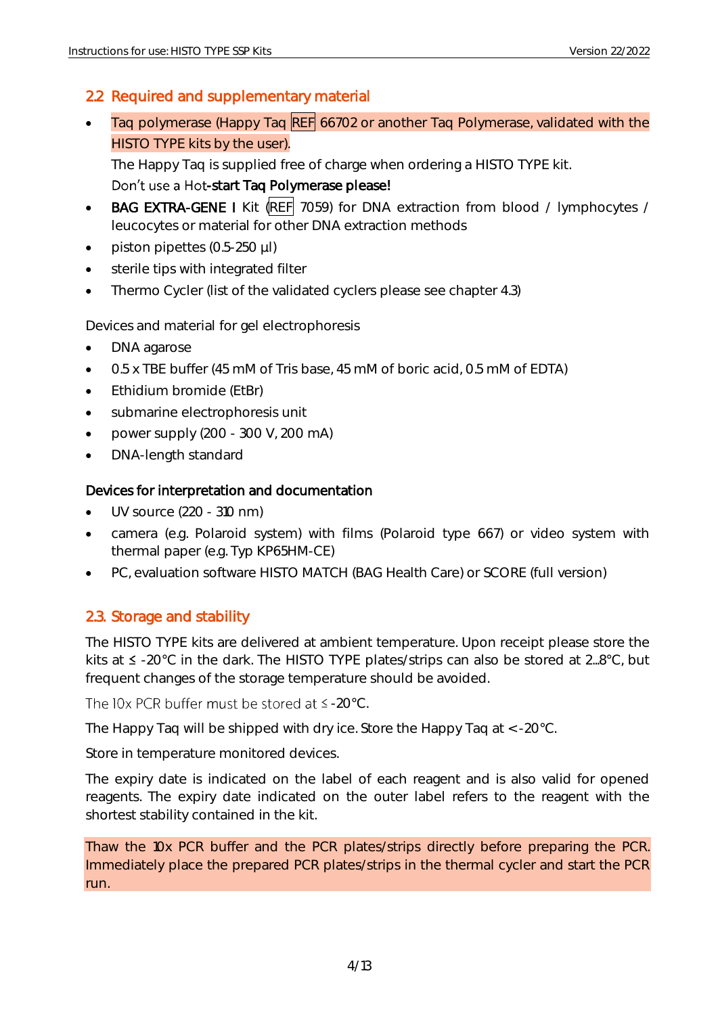#### <span id="page-4-0"></span>2.2 Required and supplementary material

Taq polymerase (Happy Taq REF 66702 or another Taq Polymerase, validated with the HISTO TYPE kits by the user).

The Happy Taq is supplied free of charge when ordering a HISTO TYPE kit. Don't use a Hot-start Taq Polymerase please!

- BAG EXTRA-GENE I Kit (REF 7059) for DNA extraction from blood / lymphocytes / leucocytes or material for other DNA extraction methods
- piston pipettes (0.5-250 µl)
- sterile tips with integrated filter
- Thermo Cycler (list of the validated cyclers please see chapter 4.3)

Devices and material for gel electrophoresis

- DNA agarose
- 0.5 x TBE buffer (45 mM of Tris base, 45 mM of boric acid, 0.5 mM of EDTA)
- Ethidium bromide (EtBr)
- submarine electrophoresis unit
- power supply  $(200 300 V, 200 mA)$
- DNA-length standard

#### Devices for interpretation and documentation

- UV source (220 310 nm)
- camera (e.g. Polaroid system) with films (Polaroid type 667) or video system with thermal paper (e.g. Typ KP65HM-CE)
- PC, evaluation software HISTO MATCH (BAG Health Care) or SCORE (full version)

#### <span id="page-4-1"></span>2.3. Storage and stability

The HISTO TYPE kits are delivered at ambient temperature. Upon receipt please store the kits at  $\leq$  -20°C in the dark. The HISTO TYPE plates/strips can also be stored at 2...8°C, but frequent changes of the storage temperature should be avoided.

The IOx PCR buffer must be stored at  $\leq$  -20°C.

The Happy Taq will be shipped with dry ice. Store the Happy Taq at < -20°C.

Store in temperature monitored devices.

The expiry date is indicated on the label of each reagent and is also valid for opened reagents. The expiry date indicated on the outer label refers to the reagent with the shortest stability contained in the kit.

Thaw the 10x PCR buffer and the PCR plates/strips directly before preparing the PCR. Immediately place the prepared PCR plates/strips in the thermal cycler and start the PCR run.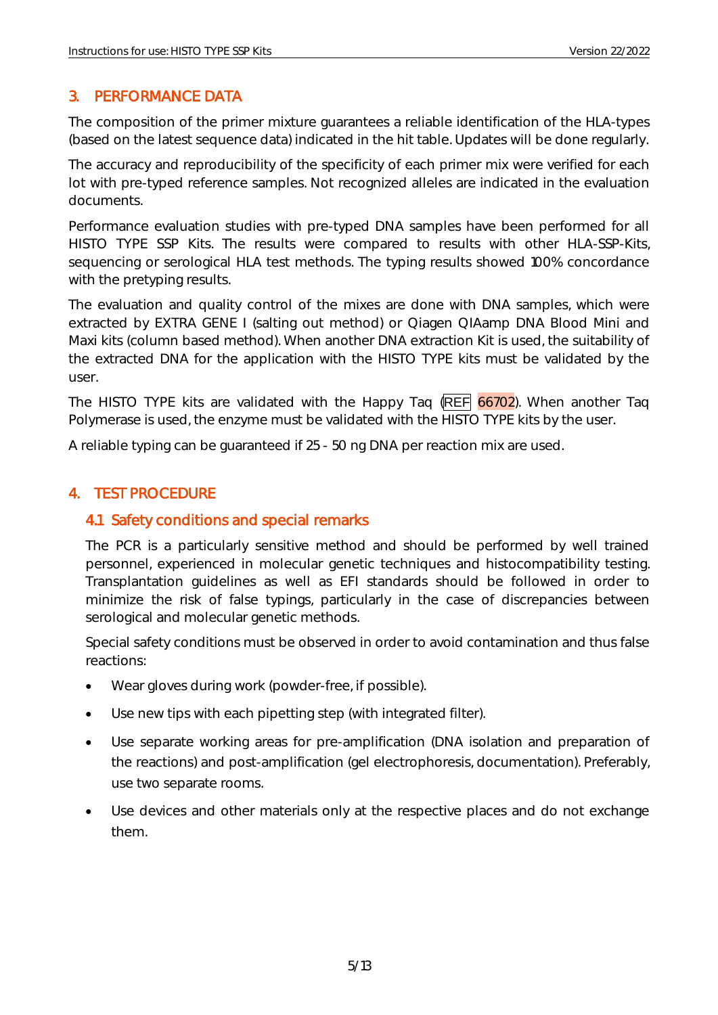#### <span id="page-5-0"></span>3. PERFORMANCE DATA

The composition of the primer mixture guarantees a reliable identification of the HLA-types (based on the latest sequence data) indicated in the hit table. Updates will be done regularly.

The accuracy and reproducibility of the specificity of each primer mix were verified for each lot with pre-typed reference samples. Not recognized alleles are indicated in the evaluation documents.

Performance evaluation studies with pre-typed DNA samples have been performed for all HISTO TYPE SSP Kits. The results were compared to results with other HLA-SSP-Kits, sequencing or serological HLA test methods. The typing results showed 100% concordance with the pretyping results.

The evaluation and quality control of the mixes are done with DNA samples, which were extracted by EXTRA GENE I (salting out method) or Qiagen QIAamp DNA Blood Mini and Maxi kits (column based method). When another DNA extraction Kit is used, the suitability of the extracted DNA for the application with the HISTO TYPE kits must be validated by the user.

The HISTO TYPE kits are validated with the Happy Taq (REF 66702). When another Taq Polymerase is used, the enzyme must be validated with the HISTO TYPE kits by the user.

A reliable typing can be guaranteed if 25 - 50 ng DNA per reaction mix are used.

#### <span id="page-5-1"></span>4. TEST PROCEDURE

#### <span id="page-5-2"></span>4.1 Safety conditions and special remarks

The PCR is a particularly sensitive method and should be performed by well trained personnel, experienced in molecular genetic techniques and histocompatibility testing. Transplantation guidelines as well as EFI standards should be followed in order to minimize the risk of false typings, particularly in the case of discrepancies between serological and molecular genetic methods.

Special safety conditions must be observed in order to avoid contamination and thus false reactions:

- Wear gloves during work (powder-free, if possible).
- Use new tips with each pipetting step (with integrated filter).
- Use separate working areas for pre-amplification (DNA isolation and preparation of the reactions) and post-amplification (gel electrophoresis, documentation). Preferably, use two separate rooms.
- Use devices and other materials only at the respective places and do not exchange them.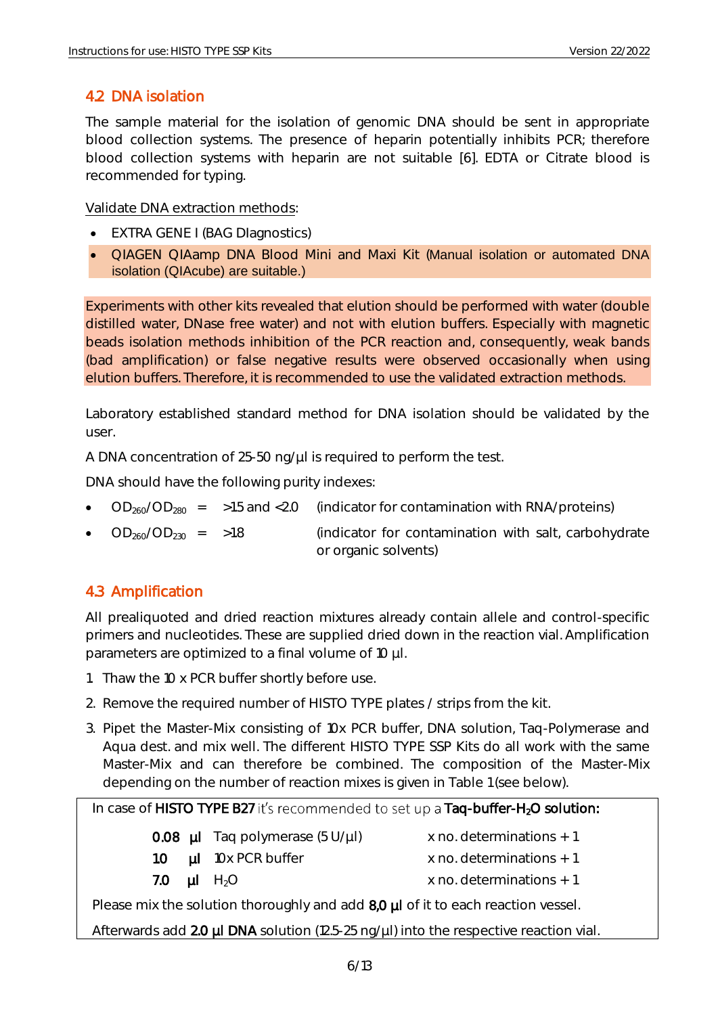#### <span id="page-6-0"></span>4.2 DNA isolation

The sample material for the isolation of genomic DNA should be sent in appropriate blood collection systems. The presence of heparin potentially inhibits PCR; therefore blood collection systems with heparin are not suitable [6]. EDTA or Citrate blood is recommended for typing.

Validate DNA extraction methods:

- EXTRA GENE I (BAG DIagnostics)
- QIAGEN QIAamp DNA Blood Mini and Maxi Kit (Manual isolation or automated DNA isolation (QIAcube) are suitable.)

Experiments with other kits revealed that elution should be performed with water (double distilled water, DNase free water) and not with elution buffers. Especially with magnetic beads isolation methods inhibition of the PCR reaction and, consequently, weak bands (bad amplification) or false negative results were observed occasionally when using elution buffers. Therefore, it is recommended to use the validated extraction methods.

Laboratory established standard method for DNA isolation should be validated by the user.

A DNA concentration of 25-50 ng/µl is required to perform the test.

DNA should have the following purity indexes:

- $OD<sub>260</sub>/OD<sub>280</sub> = 51.5$  and <2.0 (indicator for contamination with RNA/proteins)
- $OD_{260}/OD_{230}$  = >1.8 (indicator for contamination with salt, carbohydrate or organic solvents)

#### <span id="page-6-1"></span>4.3 Amplification

All prealiquoted and dried reaction mixtures already contain allele and control-specific primers and nucleotides. These are supplied dried down in the reaction vial. Amplification parameters are optimized to a final volume of 10 µl.

- 1. Thaw the 10 x PCR buffer shortly before use.
- 2. Remove the required number of HISTO TYPE plates / strips from the kit.
- 3. Pipet the Master-Mix consisting of 10x PCR buffer, DNA solution, Taq-Polymerase and Aqua dest. and mix well. The different HISTO TYPE SSP Kits do all work with the same Master-Mix and can therefore be combined. The composition of the Master-Mix depending on the number of reaction mixes is given in Table 1 (see below).

#### In case of HISTO TYPE B27 it's recommended to set up a Taq-buffer-H<sub>2</sub>O solution:

- **0.08**  $\mu$ I Taq polymerase (5 U/ $\mu$ I) x no. determinations + 1
- 1.0  $\mu$ I 10x PCR buffer  $\mu$  x no. determinations + 1
- 

- 
- 7.0  $\mu$ I H<sub>2</sub>O x no. determinations + 1

Please mix the solution thoroughly and add 8,0 µl of it to each reaction vessel.

Afterwards add  $2.0 \mu$ I DNA solution (12.5-25 ng/ $\mu$ I) into the respective reaction vial.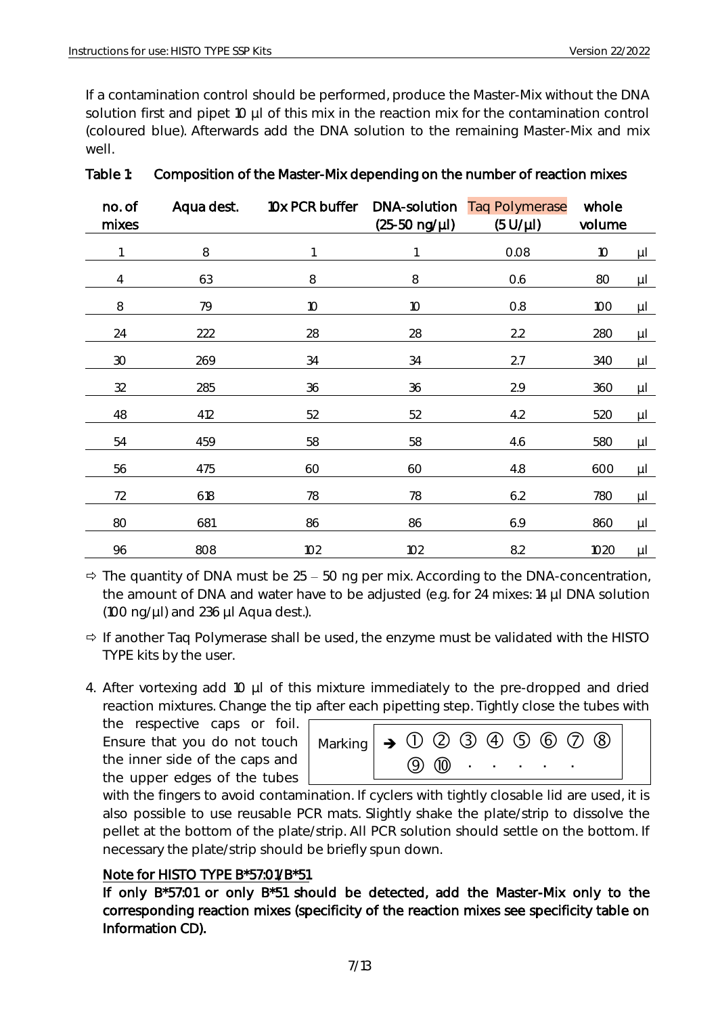If a contamination control should be performed, produce the Master-Mix without the DNA solution first and pipet 10 µl of this mix in the reaction mix for the contamination control (coloured blue). Afterwards add the DNA solution to the remaining Master-Mix and mix well.

| no. of<br>mixes | Aqua dest. | 10x PCR buffer  | DNA-solution<br>$(25-50 \nng/µ)$ | <b>Taq Polymerase</b><br>$(5 U/\mu l)$ | whole<br>volume |         |
|-----------------|------------|-----------------|----------------------------------|----------------------------------------|-----------------|---------|
|                 | $\,8\,$    |                 |                                  | 0.08                                   | $10$            | $\mu$ l |
| 4               | 63         | 8               | 8                                | 0.6                                    | 80              | $\mu$   |
| 8               | 79         | 10 <sup>°</sup> | 10 <sup>°</sup>                  | 0.8                                    | 100             | $\mu$   |
| 24              | 222        | 28              | 28                               | 2.2                                    | 280             | $\mu$ l |
| 30              | 269        | 34              | 34                               | 2.7                                    | 340             | μL      |
| 32              | 285        | 36              | 36                               | 2.9                                    | 360             | μL      |
| 48              | 412        | 52              | 52                               | 4.2                                    | 520             | μL      |
| 54              | 459        | 58              | 58                               | 4.6                                    | 580             | $\mu$   |
| 56              | 475        | 60              | 60                               | 4.8                                    | 600             | $\mu$ l |
| 72              | 618        | 78              | 78                               | 6.2                                    | 780             | μL      |
| 80              | 681        | 86              | 86                               | 6.9                                    | 860             | μL      |
| 96              | 808        | 102             | 102                              | 8.2                                    | 1020            | $\mu$ l |

#### Table 1: Composition of the Master-Mix depending on the number of reaction mixes

 $\Rightarrow$  The quantity of DNA must be 25 – 50 ng per mix. According to the DNA-concentration, the amount of DNA and water have to be adjusted (e.g. for 24 mixes: 14 µl DNA solution (100 ng/ $\mu$ I) and 236  $\mu$ I Aqua dest.).

- $\Rightarrow$  If another Taq Polymerase shall be used, the enzyme must be validated with the HISTO TYPE kits by the user.
- 4. After vortexing add 10 µl of this mixture immediately to the pre-dropped and dried reaction mixtures. Change the tip after each pipetting step. Tightly close the tubes with

the respective caps or foil. Ensure that you do not touch the inner side of the caps and the upper edges of the tubes

| Marking $\rightarrow$ 0 2 3 4 5 6 7 8 |  |  |                                                                                                                                                                                                                                |  |  |
|---------------------------------------|--|--|--------------------------------------------------------------------------------------------------------------------------------------------------------------------------------------------------------------------------------|--|--|
|                                       |  |  | $(9)$ $(10)$ $(11)$ $(11)$ $(11)$ $(11)$ $(11)$ $(11)$ $(11)$ $(11)$ $(11)$ $(11)$ $(11)$ $(11)$ $(11)$ $(11)$ $(11)$ $(11)$ $(11)$ $(11)$ $(11)$ $(11)$ $(11)$ $(11)$ $(11)$ $(11)$ $(11)$ $(11)$ $(11)$ $(11)$ $(11)$ $(11)$ |  |  |

with the fingers to avoid contamination. If cyclers with tightly closable lid are used, it is also possible to use reusable PCR mats. Slightly shake the plate/strip to dissolve the pellet at the bottom of the plate/strip. All PCR solution should settle on the bottom. If necessary the plate/strip should be briefly spun down.

#### Note for HISTO TYPE B\*57:01/B\*51

If only B\*57:01 or only B\*51 should be detected, add the Master-Mix only to the corresponding reaction mixes (specificity of the reaction mixes see specificity table on Information CD).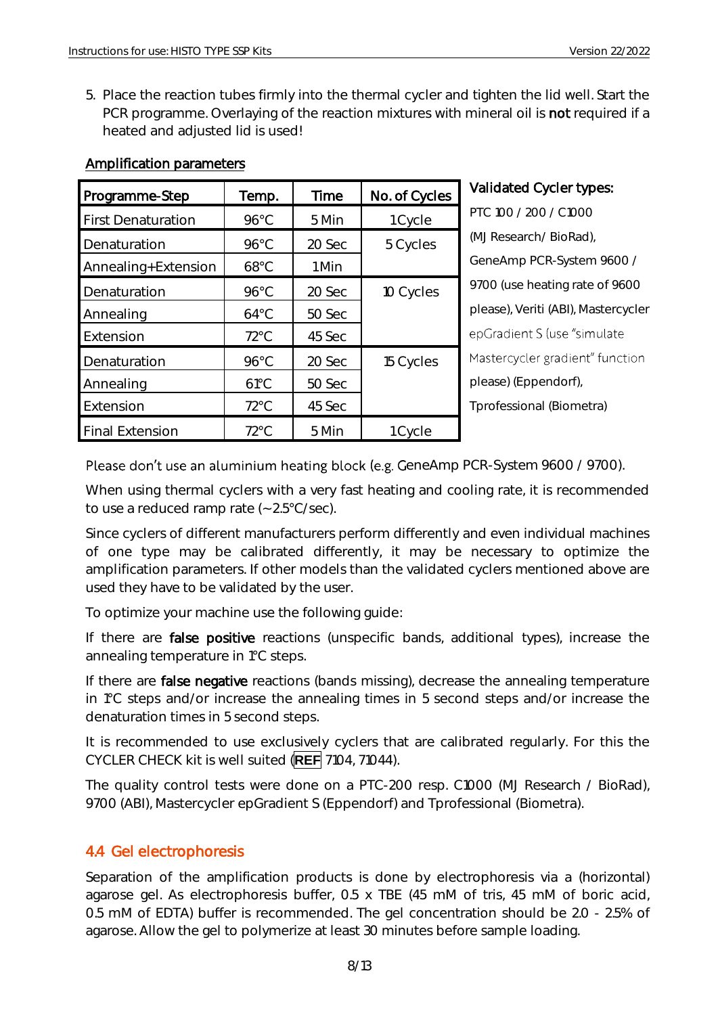5. Place the reaction tubes firmly into the thermal cycler and tighten the lid well. Start the PCR programme. Overlaying of the reaction mixtures with mineral oil is not required if a heated and adjusted lid is used!

| Programme-Step            | Temp.          | Time   | No. of Cycles |
|---------------------------|----------------|--------|---------------|
| <b>First Denaturation</b> | $96^{\circ}$ C | 5 Min  | 1 Cycle       |
| Denaturation              | $96^{\circ}$ C | 20 Sec | 5 Cycles      |
| Annealing+Extension       | $68^{\circ}$ C | 1 Min  |               |
| Denaturation              | $96^{\circ}$ C | 20 Sec | 10 Cycles     |
| Annealing                 | $64^{\circ}$ C | 50 Sec |               |
| Extension                 | $72^{\circ}$ C | 45 Sec |               |
| Denaturation              | $96^{\circ}$ C | 20 Sec | 15 Cycles     |
| Annealing                 | $61^{\circ}$ C | 50 Sec |               |
| Extension                 | $72^{\circ}$ C | 45 Sec |               |
| <b>Final Extension</b>    | $72^{\circ}$ C | 5 Min  | 1 Cycle       |

#### Amplification parameters

#### Validated Cycler types:

PTC 100 / 200 / C1000 (MJ Research/ BioRad), GeneAmp PCR-System 9600 / 9700 (use heating rate of 9600 please), Veriti (ABI), Mastercycler epGradient S (use "simulate Mastercycler gradient" function please) (Eppendorf), Tprofessional (Biometra)

#### Please don't use an aluminium heating block (e.g. GeneAmp PCR-System 9600 / 9700).

When using thermal cyclers with a very fast heating and cooling rate, it is recommended to use a reduced ramp rate (~ 2.5°C/sec).

Since cyclers of different manufacturers perform differently and even individual machines of one type may be calibrated differently, it may be necessary to optimize the amplification parameters. If other models than the validated cyclers mentioned above are used they have to be validated by the user.

To optimize your machine use the following guide:

If there are false positive reactions (unspecific bands, additional types), increase the annealing temperature in 1°C steps.

If there are false negative reactions (bands missing), decrease the annealing temperature in 1°C steps and/or increase the annealing times in 5 second steps and/or increase the denaturation times in 5 second steps.

It is recommended to use exclusively cyclers that are calibrated regularly. For this the CYCLER CHECK kit is well suited (**REF** 7104, 71044).

The quality control tests were done on a PTC-200 resp. C1000 (MJ Research / BioRad), 9700 (ABI), Mastercycler epGradient S (Eppendorf) and Tprofessional (Biometra).

#### <span id="page-8-0"></span>4.4 Gel electrophoresis

Separation of the amplification products is done by electrophoresis via a (horizontal) agarose gel. As electrophoresis buffer, 0.5 x TBE (45 mM of tris, 45 mM of boric acid, 0.5 mM of EDTA) buffer is recommended. The gel concentration should be 2.0 - 2.5% of agarose. Allow the gel to polymerize at least 30 minutes before sample loading.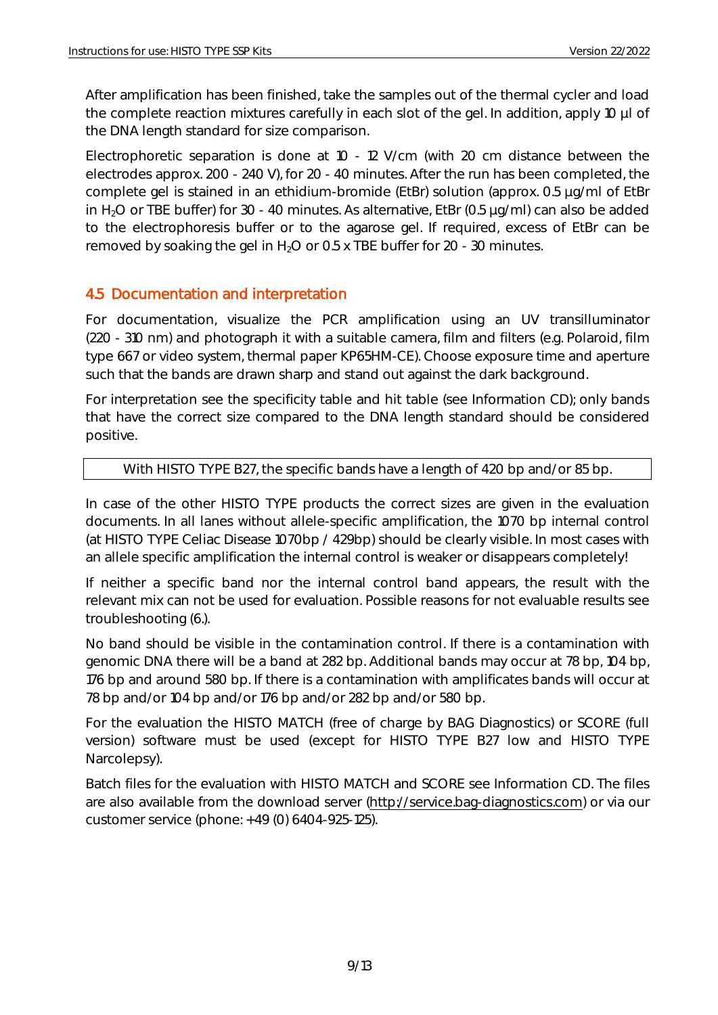After amplification has been finished, take the samples out of the thermal cycler and load the complete reaction mixtures carefully in each slot of the gel. In addition, apply 10 µl of the DNA length standard for size comparison.

Electrophoretic separation is done at 10 - 12 V/cm (with 20 cm distance between the electrodes approx. 200 - 240 V), for 20 - 40 minutes. After the run has been completed, the complete gel is stained in an ethidium-bromide (EtBr) solution (approx. 0.5 µg/ml of EtBr in H<sub>2</sub>O or TBE buffer) for 30 - 40 minutes. As alternative, EtBr (0.5 µg/ml) can also be added to the electrophoresis buffer or to the agarose gel. If required, excess of EtBr can be removed by soaking the gel in  $H_2O$  or 0.5 x TBE buffer for 20 - 30 minutes.

#### <span id="page-9-0"></span>4.5 Documentation and interpretation

For documentation, visualize the PCR amplification using an UV transilluminator (220 - 310 nm) and photograph it with a suitable camera, film and filters (e.g. Polaroid, film type 667 or video system, thermal paper KP65HM-CE). Choose exposure time and aperture such that the bands are drawn sharp and stand out against the dark background.

For interpretation see the specificity table and hit table (see Information CD); only bands that have the correct size compared to the DNA length standard should be considered positive.

#### With HISTO TYPE B27, the specific bands have a length of 420 bp and/or 85 bp.

In case of the other HISTO TYPE products the correct sizes are given in the evaluation documents. In all lanes without allele-specific amplification, the 1070 bp internal control (at HISTO TYPE Celiac Disease 1070bp / 429bp) should be clearly visible. In most cases with an allele specific amplification the internal control is weaker or disappears completely!

If neither a specific band nor the internal control band appears, the result with the relevant mix can not be used for evaluation. Possible reasons for not evaluable results see troubleshooting (6.).

No band should be visible in the contamination control. If there is a contamination with genomic DNA there will be a band at 282 bp. Additional bands may occur at 78 bp, 104 bp, 176 bp and around 580 bp. If there is a contamination with amplificates bands will occur at 78 bp and/or 104 bp and/or 176 bp and/or 282 bp and/or 580 bp.

For the evaluation the HISTO MATCH (free of charge by BAG Diagnostics) or SCORE (full version) software must be used (except for HISTO TYPE B27 low and HISTO TYPE Narcolepsy).

Batch files for the evaluation with HISTO MATCH and SCORE see Information CD. The files are also available from the download server [\(http://service.bag-diagnostics.com\)](http://service.bag-diagnostics.com/) or via our customer service (phone: +49 (0) 6404-925-125).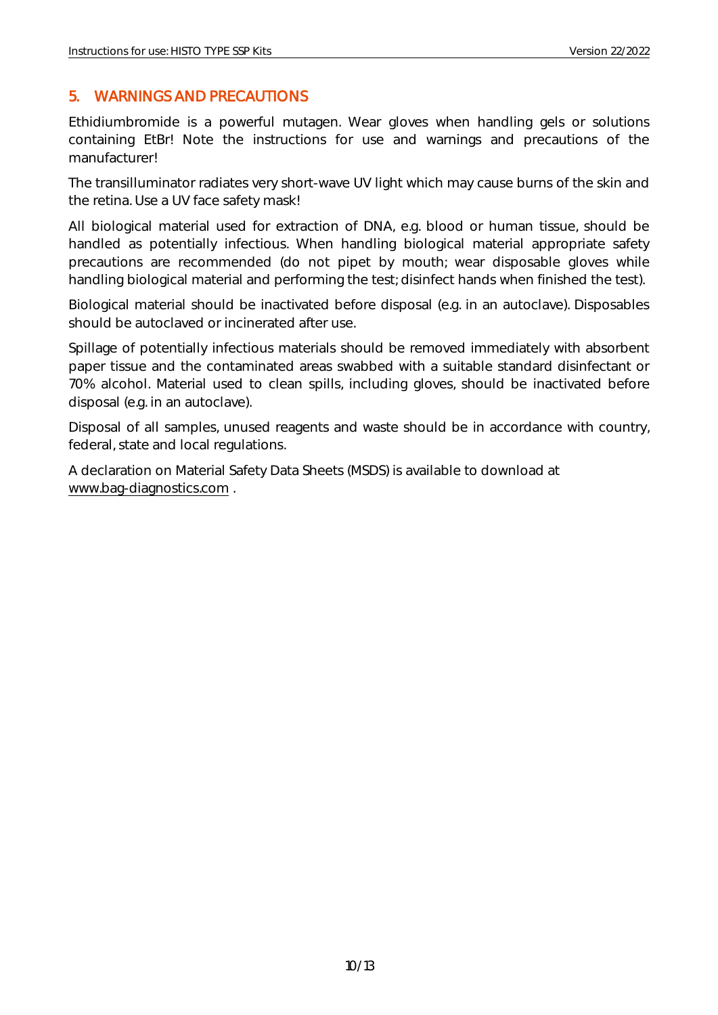#### <span id="page-10-0"></span>5. WARNINGS AND PRECAUTIONS

Ethidiumbromide is a powerful mutagen. Wear gloves when handling gels or solutions containing EtBr! Note the instructions for use and warnings and precautions of the manufacturer!

The transilluminator radiates very short-wave UV light which may cause burns of the skin and the retina. Use a UV face safety mask!

All biological material used for extraction of DNA, e.g. blood or human tissue, should be handled as potentially infectious. When handling biological material appropriate safety precautions are recommended (do not pipet by mouth; wear disposable gloves while handling biological material and performing the test; disinfect hands when finished the test).

Biological material should be inactivated before disposal (e.g. in an autoclave). Disposables should be autoclaved or incinerated after use.

Spillage of potentially infectious materials should be removed immediately with absorbent paper tissue and the contaminated areas swabbed with a suitable standard disinfectant or 70% alcohol. Material used to clean spills, including gloves, should be inactivated before disposal (e.g. in an autoclave).

Disposal of all samples, unused reagents and waste should be in accordance with country, federal, state and local regulations.

A declaration on Material Safety Data Sheets (MSDS) is available to download at [www.bag-diagnostics.com](http://www.bag-diagnostics.com/) .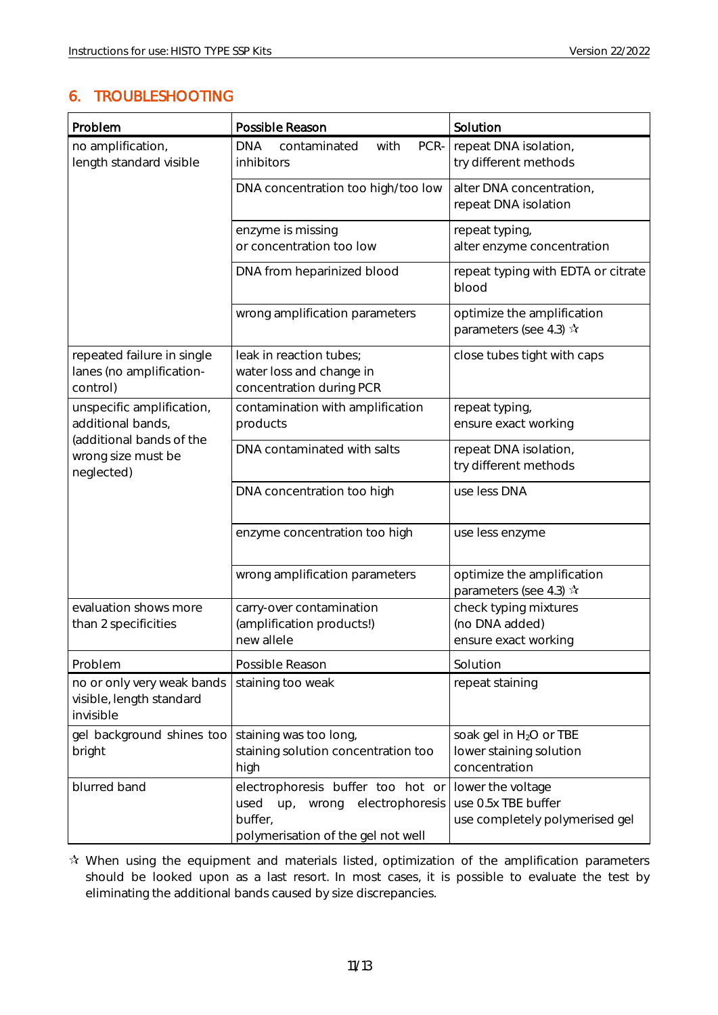#### <span id="page-11-0"></span>6. TROUBLESHOOTING

| Problem                                                             | Possible Reason                                                                                                               | Solution                                                                        |
|---------------------------------------------------------------------|-------------------------------------------------------------------------------------------------------------------------------|---------------------------------------------------------------------------------|
| no amplification,<br>length standard visible                        | <b>DNA</b><br>contaminated<br>PCR-<br>with<br>inhibitors                                                                      | repeat DNA isolation,<br>try different methods                                  |
|                                                                     | DNA concentration too high/too low                                                                                            | alter DNA concentration,<br>repeat DNA isolation                                |
|                                                                     | enzyme is missing<br>or concentration too low                                                                                 | repeat typing,<br>alter enzyme concentration                                    |
|                                                                     | DNA from heparinized blood                                                                                                    | repeat typing with EDTA or citrate<br>blood                                     |
|                                                                     | wrong amplification parameters                                                                                                | optimize the amplification<br>parameters (see 4.3) $\mathbf{\hat{x}}$           |
| repeated failure in single<br>lanes (no amplification-<br>control)  | leak in reaction tubes;<br>water loss and change in<br>concentration during PCR                                               | close tubes tight with caps                                                     |
| unspecific amplification,<br>additional bands,                      | contamination with amplification<br>products                                                                                  | repeat typing,<br>ensure exact working                                          |
| (additional bands of the<br>wrong size must be<br>neglected)        | DNA contaminated with salts                                                                                                   | repeat DNA isolation,<br>try different methods                                  |
|                                                                     | DNA concentration too high                                                                                                    | use less DNA                                                                    |
|                                                                     | enzyme concentration too high                                                                                                 | use less enzyme                                                                 |
|                                                                     | wrong amplification parameters                                                                                                | optimize the amplification<br>parameters (see 4.3) $\mathbf{\hat{x}}$           |
| evaluation shows more<br>than 2 specificities                       | carry-over contamination<br>(amplification products!)<br>new allele                                                           | check typing mixtures<br>(no DNA added)<br>ensure exact working                 |
| Problem                                                             | Possible Reason                                                                                                               | Solution                                                                        |
| no or only very weak bands<br>visible, length standard<br>invisible | staining too weak                                                                                                             | repeat staining                                                                 |
| gel background shines too<br>bright                                 | staining was too long,<br>staining solution concentration too<br>high                                                         | soak gel in H <sub>2</sub> O or TBE<br>lower staining solution<br>concentration |
| blurred band                                                        | electrophoresis buffer too hot or<br>electrophoresis<br>used<br>up,<br>wrong<br>buffer,<br>polymerisation of the gel not well | lower the voltage<br>use 0.5x TBE buffer<br>use completely polymerised gel      |

 $\mathbf{\hat{x}}$  When using the equipment and materials listed, optimization of the amplification parameters should be looked upon as a last resort. In most cases, it is possible to evaluate the test by eliminating the additional bands caused by size discrepancies.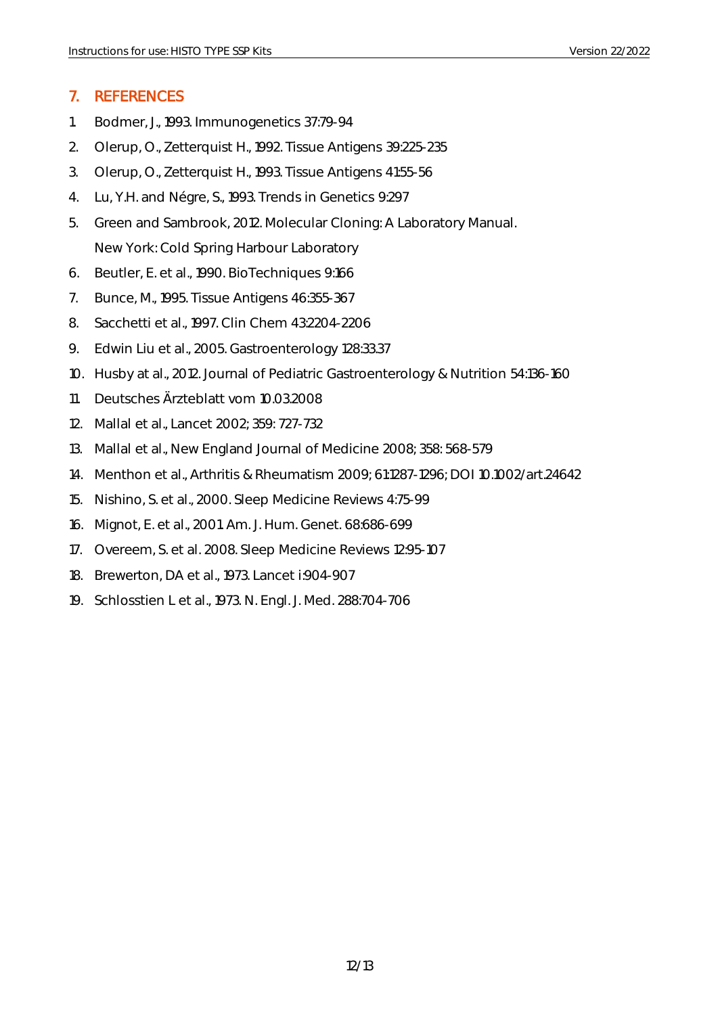#### <span id="page-12-0"></span>7. REFERENCES

- 1. Bodmer, J., 1993. Immunogenetics 37:79-94
- 2. Olerup, O., Zetterquist H., 1992. Tissue Antigens 39:225-235
- 3. Olerup, O., Zetterquist H., 1993. Tissue Antigens 41:55-56
- 4. Lu, Y.H. and Négre, S., 1993. Trends in Genetics 9:297
- 5. Green and Sambrook, 2012. Molecular Cloning: A Laboratory Manual. New York: Cold Spring Harbour Laboratory
- 6. Beutler, E. et al., 1990. BioTechniques 9:166
- 7. Bunce, M., 1995. Tissue Antigens 46:355-367
- 8. Sacchetti et al., 1997. Clin Chem 43:2204-2206
- 9. Edwin Liu et al., 2005. Gastroenterology 128:33.37
- 10. Husby at al., 2012. Journal of Pediatric Gastroenterology & Nutrition 54:136-160
- 11. Deutsches Ärzteblatt vom 10.03.2008
- 12. Mallal et al., Lancet 2002; 359: 727-732
- 13. Mallal et al., New England Journal of Medicine 2008; 358: 568-579
- 14. Menthon et al., Arthritis & Rheumatism 2009; 61:1287-1296; DOI 10.1002/art.24642
- 15. Nishino, S. et al., 2000. Sleep Medicine Reviews 4:75-99
- 16. Mignot, E. et al., 2001. Am. J. Hum. Genet. 68:686-699
- 17. Overeem, S. et al. 2008. Sleep Medicine Reviews 12:95-107
- 18. Brewerton, DA et al., 1973. Lancet i:904-907
- 19. Schlosstien L et al., 1973. N. Engl. J. Med. 288:704-706